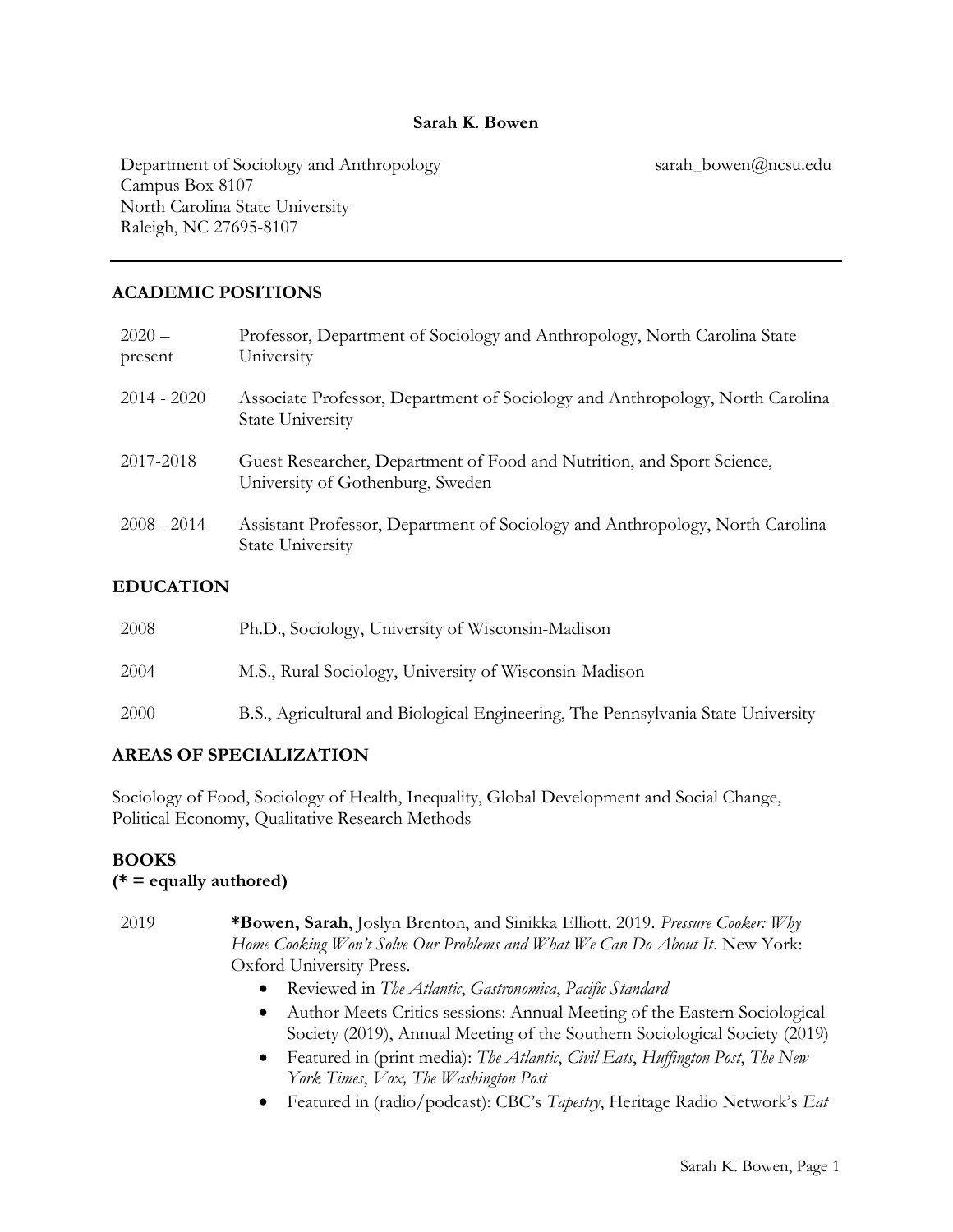#### Sarah K. Bowen

Department of Sociology and Anthropology Campus Box 8107 North Carolina State University Raleigh, NC 27695-8107

sarah\_bowen@ncsu.edu

## ACADEMIC POSITIONS

| $2020 -$<br>present  | Professor, Department of Sociology and Anthropology, North Carolina State<br>University                    |
|----------------------|------------------------------------------------------------------------------------------------------------|
| $2014 - 2020$        | Associate Professor, Department of Sociology and Anthropology, North Carolina<br><b>State University</b>   |
| 2017-2018            | Guest Researcher, Department of Food and Nutrition, and Sport Science,<br>University of Gothenburg, Sweden |
| $2008 - 2014$        | Assistant Professor, Department of Sociology and Anthropology, North Carolina<br><b>State University</b>   |
| <b>DDILO A THONI</b> |                                                                                                            |

#### EDUCATION

| 2008 | Ph.D., Sociology, University of Wisconsin-Madison                                |
|------|----------------------------------------------------------------------------------|
| 2004 | M.S., Rural Sociology, University of Wisconsin-Madison                           |
| 2000 | B.S., Agricultural and Biological Engineering, The Pennsylvania State University |

## AREAS OF SPECIALIZATION

Sociology of Food, Sociology of Health, Inequality, Global Development and Social Change, Political Economy, Qualitative Research Methods

## BOOKS

#### $(* = equally authorized)$

- 2019 \*Bowen, Sarah, Joslyn Brenton, and Sinikka Elliott. 2019. Pressure Cooker: Why Home Cooking Won't Solve Our Problems and What We Can Do About It. New York: Oxford University Press.
	- Reviewed in The Atlantic, Gastronomica, Pacific Standard
	- Author Meets Critics sessions: Annual Meeting of the Eastern Sociological Society (2019), Annual Meeting of the Southern Sociological Society (2019)
	- Featured in (print media): The Atlantic, Civil Eats, Huffington Post, The New York Times, Vox, The Washington Post
	- Featured in (radio/podcast): CBC's Tapestry, Heritage Radio Network's Eat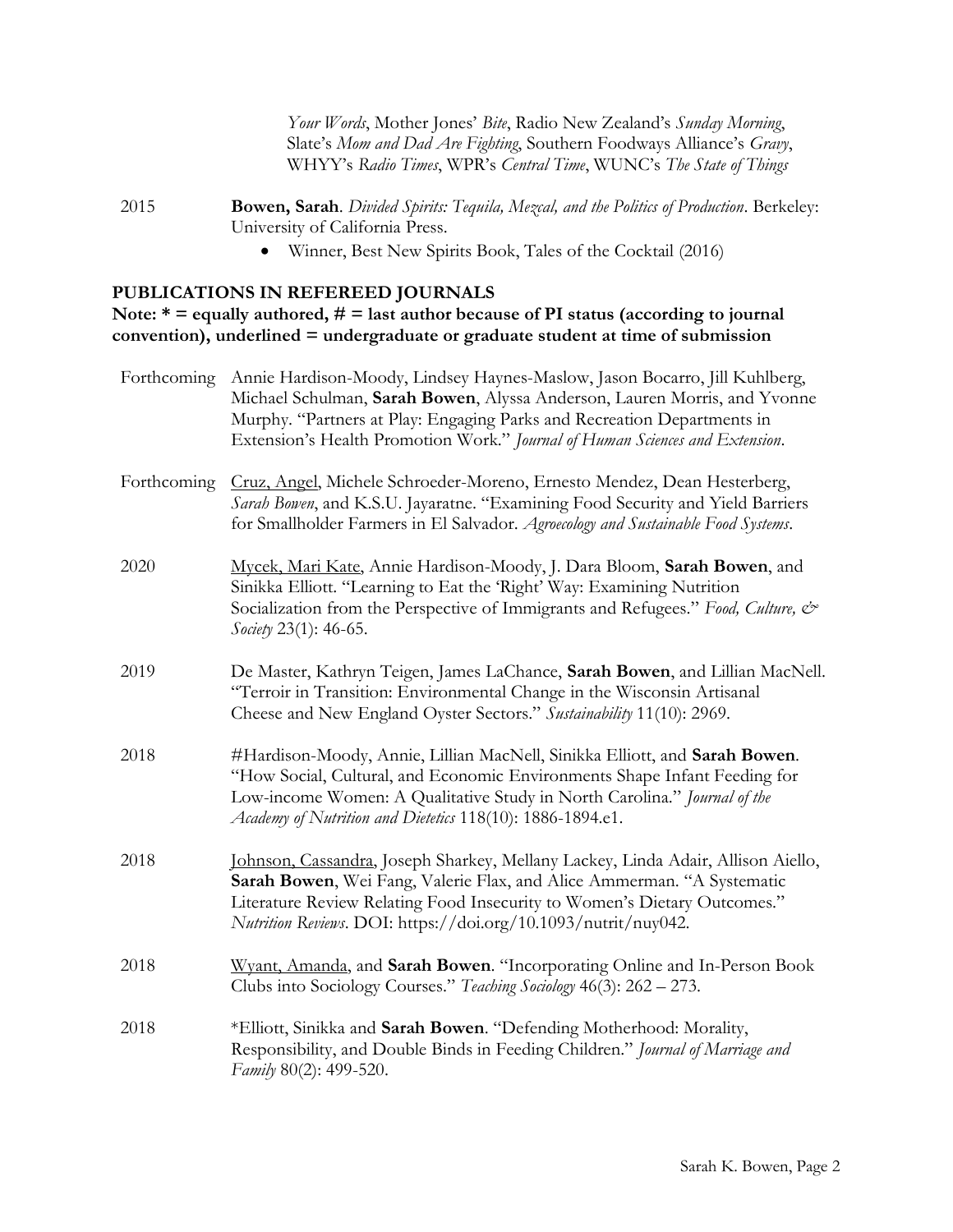Your Words, Mother Jones' Bite, Radio New Zealand's Sunday Morning, Slate's Mom and Dad Are Fighting, Southern Foodways Alliance's Gravy, WHYY's Radio Times, WPR's Central Time, WUNC's The State of Things

2015 **Bowen, Sarah**. Divided Spirits: Tequila, Mezcal, and the Politics of Production. Berkeley: University of California Press.

Winner, Best New Spirits Book, Tales of the Cocktail (2016)

#### PUBLICATIONS IN REFEREED JOURNALS

Note:  $* =$  equally authored,  $# =$  last author because of PI status (according to journal convention), underlined = undergraduate or graduate student at time of submission

| Forthcoming | Annie Hardison-Moody, Lindsey Haynes-Maslow, Jason Bocarro, Jill Kuhlberg,<br>Michael Schulman, Sarah Bowen, Alyssa Anderson, Lauren Morris, and Yvonne<br>Murphy. "Partners at Play: Engaging Parks and Recreation Departments in<br>Extension's Health Promotion Work." Journal of Human Sciences and Extension. |
|-------------|--------------------------------------------------------------------------------------------------------------------------------------------------------------------------------------------------------------------------------------------------------------------------------------------------------------------|
| Forthcoming | Cruz, Angel, Michele Schroeder-Moreno, Ernesto Mendez, Dean Hesterberg,<br>Sarah Bowen, and K.S.U. Jayaratne. "Examining Food Security and Yield Barriers<br>for Smallholder Farmers in El Salvador. Agroecology and Sustainable Food Systems.                                                                     |
| 2020        | Mycek, Mari Kate, Annie Hardison-Moody, J. Dara Bloom, Sarah Bowen, and<br>Sinikka Elliott. "Learning to Eat the 'Right' Way: Examining Nutrition<br>Socialization from the Perspective of Immigrants and Refugees." Food, Culture, &<br>Society 23(1): 46-65.                                                     |
| 2019        | De Master, Kathryn Teigen, James LaChance, Sarah Bowen, and Lillian MacNell.<br>"Terroir in Transition: Environmental Change in the Wisconsin Artisanal<br>Cheese and New England Oyster Sectors." Sustainability 11(10): 2969.                                                                                    |
| 2018        | #Hardison-Moody, Annie, Lillian MacNell, Sinikka Elliott, and Sarah Bowen.<br>"How Social, Cultural, and Economic Environments Shape Infant Feeding for<br>Low-income Women: A Qualitative Study in North Carolina." Journal of the<br>Academy of Nutrition and Dietetics 118(10): 1886-1894.e1.                   |
| 2018        | Johnson, Cassandra, Joseph Sharkey, Mellany Lackey, Linda Adair, Allison Aiello,<br>Sarah Bowen, Wei Fang, Valerie Flax, and Alice Ammerman. "A Systematic<br>Literature Review Relating Food Insecurity to Women's Dietary Outcomes."<br>Nutrition Reviews. DOI: https://doi.org/10.1093/nutrit/nuy042.           |
| 2018        | Wyant, Amanda, and Sarah Bowen. "Incorporating Online and In-Person Book<br>Clubs into Sociology Courses." Teaching Sociology 46(3): 262 - 273.                                                                                                                                                                    |
| 2018        | *Elliott, Sinikka and Sarah Bowen. "Defending Motherhood: Morality,<br>Responsibility, and Double Binds in Feeding Children." Journal of Marriage and<br>Family 80(2): 499-520.                                                                                                                                    |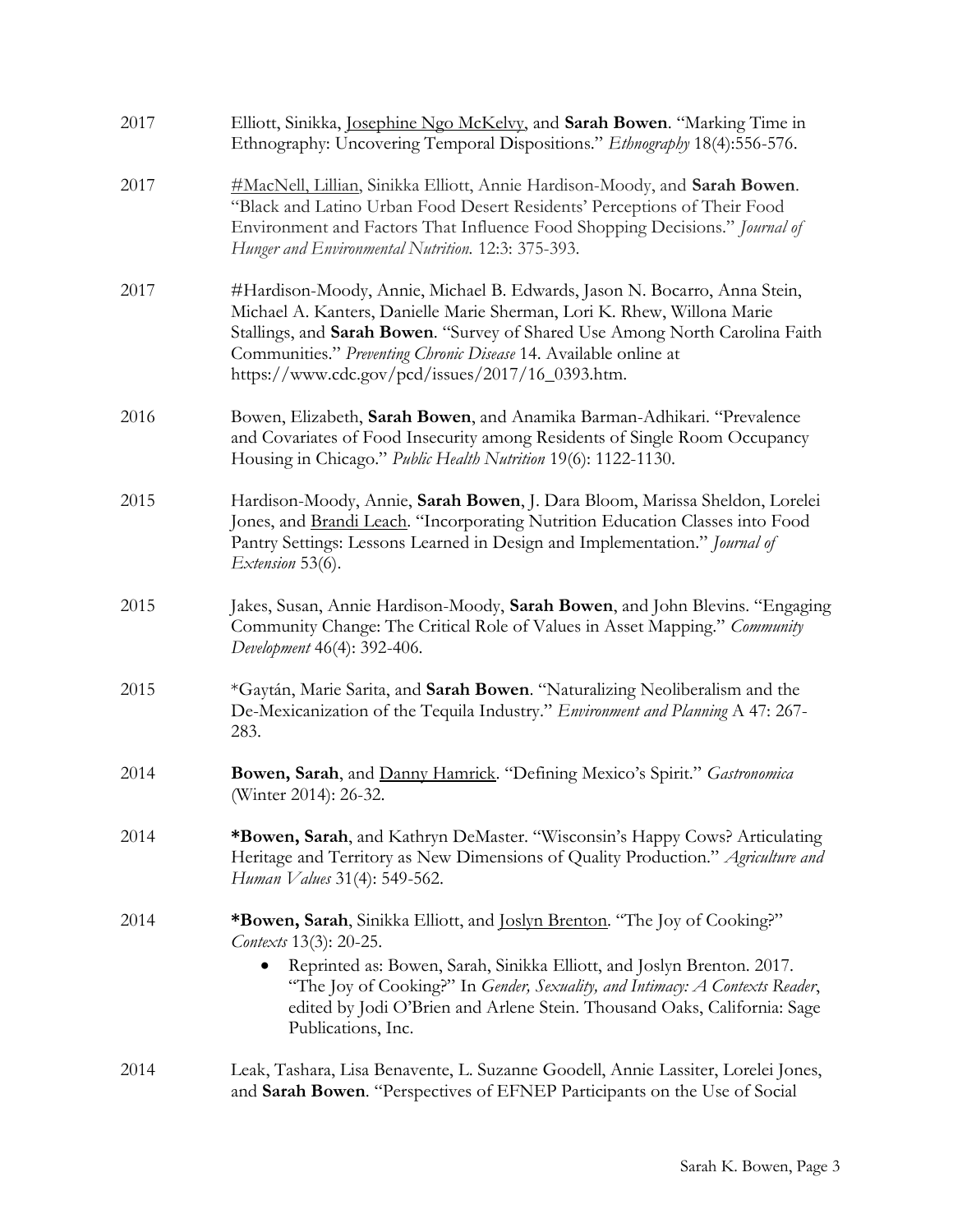| 2017 | Elliott, Sinikka, Josephine Ngo McKelvy, and Sarah Bowen. "Marking Time in<br>Ethnography: Uncovering Temporal Dispositions." Ethnography 18(4):556-576.                                                                                                                                                                                                                |
|------|-------------------------------------------------------------------------------------------------------------------------------------------------------------------------------------------------------------------------------------------------------------------------------------------------------------------------------------------------------------------------|
| 2017 | #MacNell, Lillian, Sinikka Elliott, Annie Hardison-Moody, and Sarah Bowen.<br>"Black and Latino Urban Food Desert Residents' Perceptions of Their Food<br>Environment and Factors That Influence Food Shopping Decisions." Journal of<br>Hunger and Environmental Nutrition. 12:3: 375-393.                                                                             |
| 2017 | #Hardison-Moody, Annie, Michael B. Edwards, Jason N. Bocarro, Anna Stein,<br>Michael A. Kanters, Danielle Marie Sherman, Lori K. Rhew, Willona Marie<br>Stallings, and Sarah Bowen. "Survey of Shared Use Among North Carolina Faith<br>Communities." Preventing Chronic Disease 14. Available online at<br>https://www.cdc.gov/pcd/issues/2017/16_0393.htm.            |
| 2016 | Bowen, Elizabeth, Sarah Bowen, and Anamika Barman-Adhikari. "Prevalence<br>and Covariates of Food Insecurity among Residents of Single Room Occupancy<br>Housing in Chicago." Public Health Nutrition 19(6): 1122-1130.                                                                                                                                                 |
| 2015 | Hardison-Moody, Annie, Sarah Bowen, J. Dara Bloom, Marissa Sheldon, Lorelei<br>Jones, and Brandi Leach. "Incorporating Nutrition Education Classes into Food<br>Pantry Settings: Lessons Learned in Design and Implementation." Journal of<br>Extension 53(6).                                                                                                          |
| 2015 | Jakes, Susan, Annie Hardison-Moody, Sarah Bowen, and John Blevins. "Engaging<br>Community Change: The Critical Role of Values in Asset Mapping." Community<br>Development 46(4): 392-406.                                                                                                                                                                               |
| 2015 | *Gaytán, Marie Sarita, and Sarah Bowen. "Naturalizing Neoliberalism and the<br>De-Mexicanization of the Tequila Industry." Environment and Planning A 47: 267-<br>283.                                                                                                                                                                                                  |
| 2014 | Bowen, Sarah, and Danny Hamrick. "Defining Mexico's Spirit." Gastronomica<br>(Winter 2014): 26-32.                                                                                                                                                                                                                                                                      |
| 2014 | *Bowen, Sarah, and Kathryn DeMaster. "Wisconsin's Happy Cows? Articulating<br>Heritage and Territory as New Dimensions of Quality Production." Agriculture and<br>Human Values 31(4): 549-562.                                                                                                                                                                          |
| 2014 | *Bowen, Sarah, Sinikka Elliott, and <u>Joslyn Brenton</u> . "The Joy of Cooking?"<br>Contexts 13(3): 20-25.<br>Reprinted as: Bowen, Sarah, Sinikka Elliott, and Joslyn Brenton. 2017.<br>"The Joy of Cooking?" In Gender, Sexuality, and Intimacy: A Contexts Reader,<br>edited by Jodi O'Brien and Arlene Stein. Thousand Oaks, California: Sage<br>Publications, Inc. |
| 2014 | Leak, Tashara, Lisa Benavente, L. Suzanne Goodell, Annie Lassiter, Lorelei Jones,<br>and Sarah Bowen. "Perspectives of EFNEP Participants on the Use of Social                                                                                                                                                                                                          |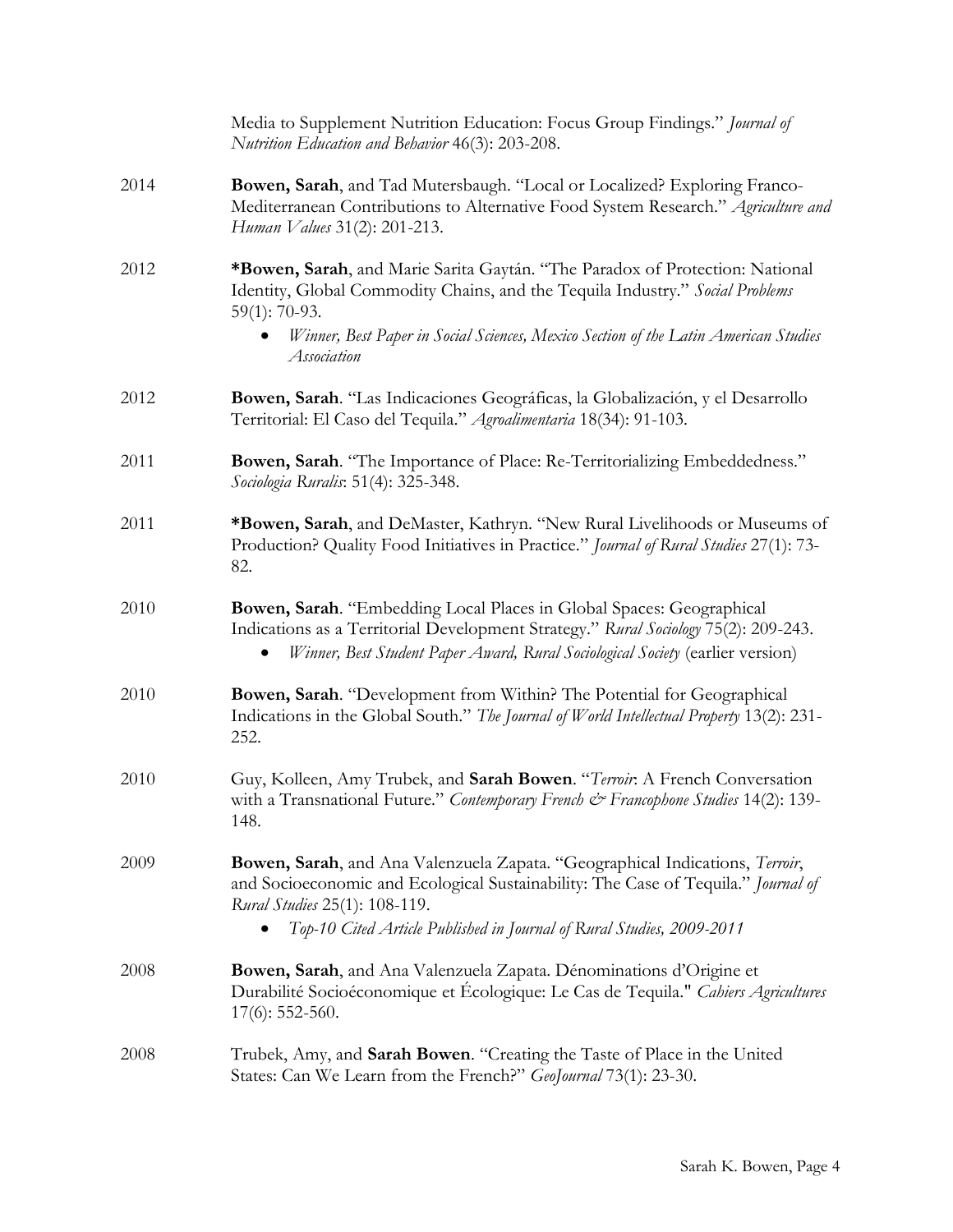|      | Media to Supplement Nutrition Education: Focus Group Findings." Journal of<br>Nutrition Education and Behavior 46(3): 203-208.                                                                                                                                                         |
|------|----------------------------------------------------------------------------------------------------------------------------------------------------------------------------------------------------------------------------------------------------------------------------------------|
| 2014 | Bowen, Sarah, and Tad Mutersbaugh. "Local or Localized? Exploring Franco-<br>Mediterranean Contributions to Alternative Food System Research." Agriculture and<br>Human Values 31(2): 201-213.                                                                                         |
| 2012 | *Bowen, Sarah, and Marie Sarita Gaytán. "The Paradox of Protection: National<br>Identity, Global Commodity Chains, and the Tequila Industry." Social Problems<br>$59(1): 70-93.$<br>Winner, Best Paper in Social Sciences, Mexico Section of the Latin American Studies<br>Association |
| 2012 | Bowen, Sarah. "Las Indicaciones Geográficas, la Globalización, y el Desarrollo<br>Territorial: El Caso del Tequila." Agroalimentaria 18(34): 91-103.                                                                                                                                   |
| 2011 | Bowen, Sarah. "The Importance of Place: Re-Territorializing Embeddedness."<br>Sociologia Ruralis: 51(4): 325-348.                                                                                                                                                                      |
| 2011 | *Bowen, Sarah, and DeMaster, Kathryn. "New Rural Livelihoods or Museums of<br>Production? Quality Food Initiatives in Practice." Journal of Rural Studies 27(1): 73-<br>82.                                                                                                            |
| 2010 | Bowen, Sarah. "Embedding Local Places in Global Spaces: Geographical<br>Indications as a Territorial Development Strategy." Rural Sociology 75(2): 209-243.<br>Winner, Best Student Paper Award, Rural Sociological Society (earlier version)                                          |
| 2010 | Bowen, Sarah. "Development from Within? The Potential for Geographical<br>Indications in the Global South." The Journal of World Intellectual Property 13(2): 231-<br>252.                                                                                                             |
| 2010 | Guy, Kolleen, Amy Trubek, and Sarah Bowen. "Terroir: A French Conversation<br>with a Transnational Future." Contemporary French & Francophone Studies 14(2): 139-<br>148.                                                                                                              |
| 2009 | Bowen, Sarah, and Ana Valenzuela Zapata. "Geographical Indications, Terroir,<br>and Socioeconomic and Ecological Sustainability: The Case of Tequila." Journal of<br>Rural Studies 25(1): 108-119.<br>Top-10 Cited Article Published in Journal of Rural Studies, 2009-2011            |
| 2008 | Bowen, Sarah, and Ana Valenzuela Zapata. Dénominations d'Origine et<br>Durabilité Socioéconomique et Écologique: Le Cas de Tequila." Cahiers Agricultures<br>$17(6)$ : 552-560.                                                                                                        |
| 2008 | Trubek, Amy, and <b>Sarah Bowen</b> . "Creating the Taste of Place in the United<br>States: Can We Learn from the French?" GeoJournal 73(1): 23-30.                                                                                                                                    |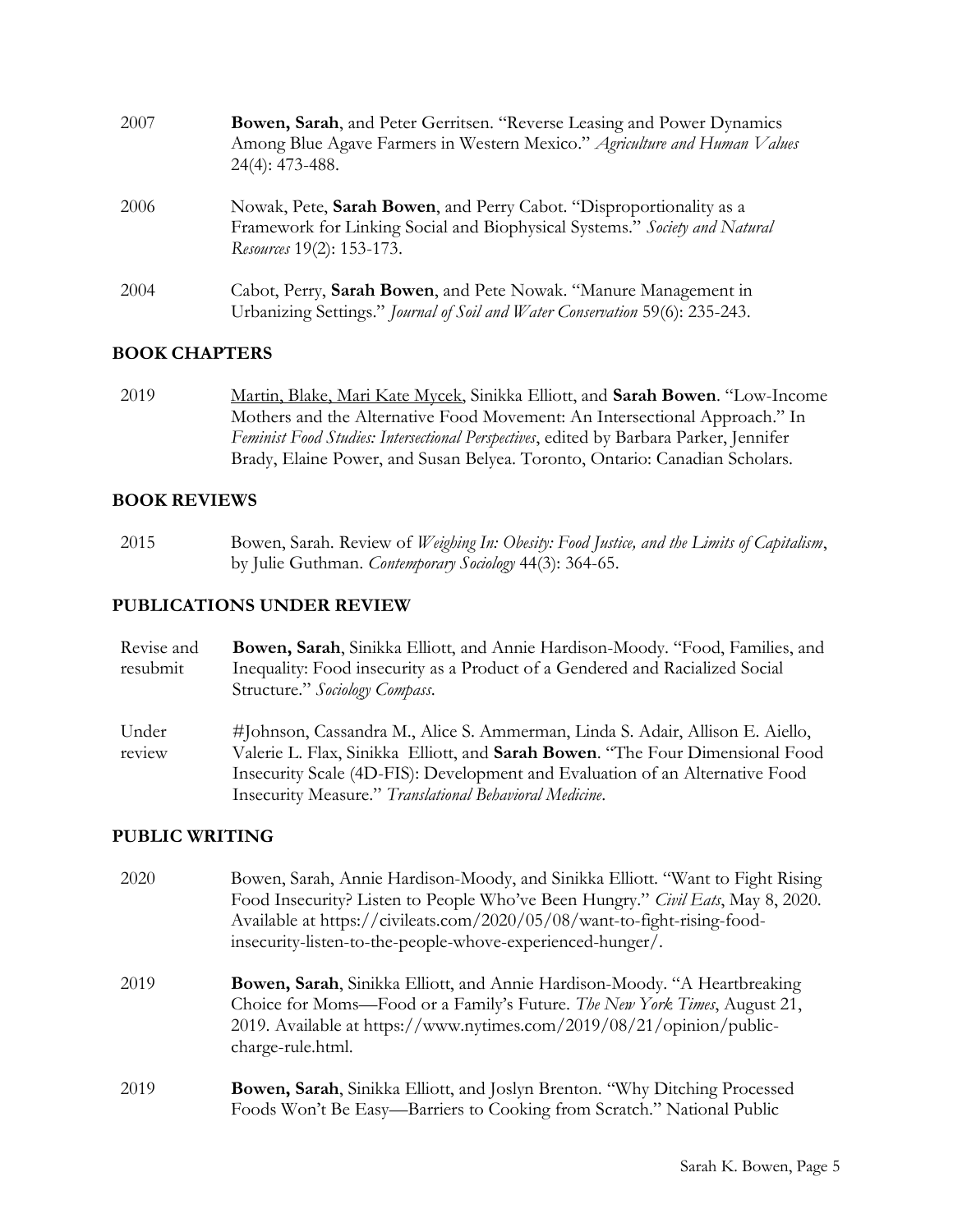| 2007 | Bowen, Sarah, and Peter Gerritsen. "Reverse Leasing and Power Dynamics<br>Among Blue Agave Farmers in Western Mexico." Agriculture and Human Values<br>$24(4): 473-488.$       |
|------|--------------------------------------------------------------------------------------------------------------------------------------------------------------------------------|
| 2006 | Nowak, Pete, Sarah Bowen, and Perry Cabot. "Disproportionality as a<br>Framework for Linking Social and Biophysical Systems." Society and Natural<br>Resources 19(2): 153-173. |
| 2004 | Cabot, Perry, Sarah Bowen, and Pete Nowak. "Manure Management in<br>Urbanizing Settings." Journal of Soil and Water Conservation 59(6): 235-243.                               |

## BOOK CHAPTERS

2019 Martin, Blake, Mari Kate Mycek, Sinikka Elliott, and Sarah Bowen. "Low-Income Mothers and the Alternative Food Movement: An Intersectional Approach." In Feminist Food Studies: Intersectional Perspectives, edited by Barbara Parker, Jennifer Brady, Elaine Power, and Susan Belyea. Toronto, Ontario: Canadian Scholars.

## BOOK REVIEWS

2015 Bowen, Sarah. Review of Weighing In: Obesity: Food Justice, and the Limits of Capitalism, by Julie Guthman. Contemporary Sociology 44(3): 364-65.

#### PUBLICATIONS UNDER REVIEW

| Revise and | <b>Bowen, Sarah</b> , Sinikka Elliott, and Annie Hardison-Moody. "Food, Families, and |
|------------|---------------------------------------------------------------------------------------|
| resubmit   | Inequality: Food insecurity as a Product of a Gendered and Racialized Social          |
|            | Structure." Sociology Compass.                                                        |
| Under      | #Johnson, Cassandra M., Alice S. Ammerman, Linda S. Adair, Allison E. Aiello,         |
| review     | Valerie L. Flax, Sinikka Elliott, and <b>Sarah Bowen</b> . "The Four Dimensional Food |
|            | Insecurity Scale (4D-FIS): Development and Evaluation of an Alternative Food          |
|            | Insecurity Measure." Translational Behavioral Medicine.                               |

#### PUBLIC WRITING

| 2020 | Bowen, Sarah, Annie Hardison-Moody, and Sinikka Elliott. "Want to Fight Rising<br>Food Insecurity? Listen to People Who've Been Hungry." Civil Eats, May 8, 2020.<br>Available at https://civileats.com/2020/05/08/want-to-fight-rising-food-<br>insecurity-listen-to-the-people-whove-experienced-hunger/. |
|------|-------------------------------------------------------------------------------------------------------------------------------------------------------------------------------------------------------------------------------------------------------------------------------------------------------------|
| 2019 | <b>Bowen, Sarah</b> , Sinikka Elliott, and Annie Hardison-Moody. "A Heartbreaking<br>Choice for Moms—Food or a Family's Future. The New York Times, August 21,<br>2019. Available at https://www.nytimes.com/2019/08/21/opinion/public-<br>charge-rule.html.                                                |
| 2019 | Bowen, Sarah, Sinikka Elliott, and Joslyn Brenton. "Why Ditching Processed<br>Foods Won't Be Easy—Barriers to Cooking from Scratch." National Public                                                                                                                                                        |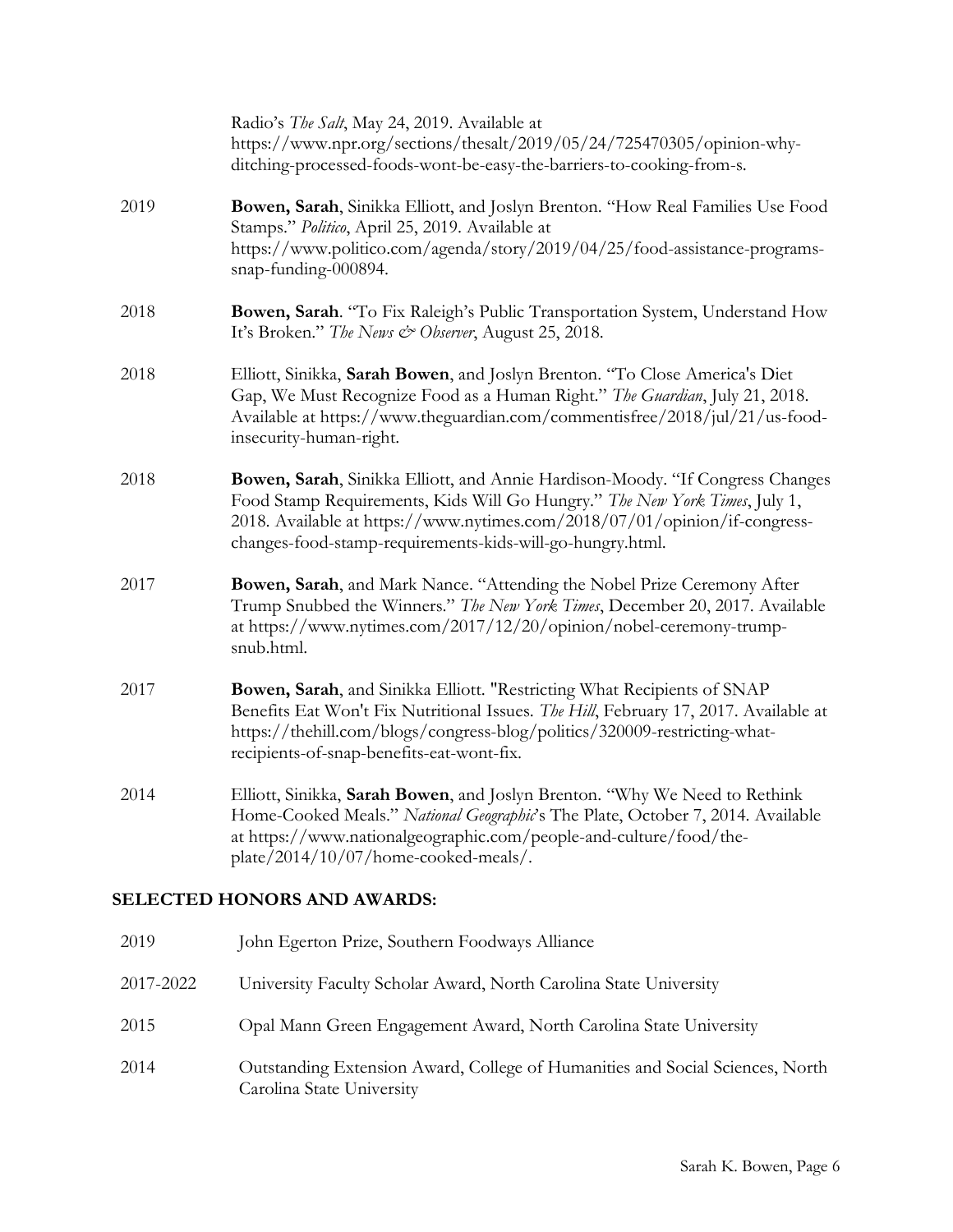|                                    | Radio's The Salt, May 24, 2019. Available at<br>https://www.npr.org/sections/thesalt/2019/05/24/725470305/opinion-why-<br>ditching-processed-foods-wont-be-easy-the-barriers-to-cooking-from-s.                                                                                                        |
|------------------------------------|--------------------------------------------------------------------------------------------------------------------------------------------------------------------------------------------------------------------------------------------------------------------------------------------------------|
| 2019                               | Bowen, Sarah, Sinikka Elliott, and Joslyn Brenton. "How Real Families Use Food<br>Stamps." Politico, April 25, 2019. Available at<br>https://www.politico.com/agenda/story/2019/04/25/food-assistance-programs-<br>snap-funding-000894.                                                                |
| 2018                               | Bowen, Sarah. "To Fix Raleigh's Public Transportation System, Understand How<br>It's Broken." The News & Observer, August 25, 2018.                                                                                                                                                                    |
| 2018                               | Elliott, Sinikka, Sarah Bowen, and Joslyn Brenton. "To Close America's Diet<br>Gap, We Must Recognize Food as a Human Right." The Guardian, July 21, 2018.<br>Available at https://www.theguardian.com/commentisfree/2018/jul/21/us-food-<br>insecurity-human-right.                                   |
| 2018                               | Bowen, Sarah, Sinikka Elliott, and Annie Hardison-Moody. "If Congress Changes<br>Food Stamp Requirements, Kids Will Go Hungry." The New York Times, July 1,<br>2018. Available at https://www.nytimes.com/2018/07/01/opinion/if-congress-<br>changes-food-stamp-requirements-kids-will-go-hungry.html. |
| 2017                               | Bowen, Sarah, and Mark Nance. "Attending the Nobel Prize Ceremony After<br>Trump Snubbed the Winners." The New York Times, December 20, 2017. Available<br>at https://www.nytimes.com/2017/12/20/opinion/nobel-ceremony-trump-<br>snub.html.                                                           |
| 2017                               | Bowen, Sarah, and Sinikka Elliott. "Restricting What Recipients of SNAP<br>Benefits Eat Won't Fix Nutritional Issues. The Hill, February 17, 2017. Available at<br>https://thehill.com/blogs/congress-blog/politics/320009-restricting-what-<br>recipients-of-snap-benefits-eat-wont-fix.              |
| 2014                               | Elliott, Sinikka, Sarah Bowen, and Joslyn Brenton. "Why We Need to Rethink<br>Home-Cooked Meals." National Geographic's The Plate, October 7, 2014. Available<br>at https://www.nationalgeographic.com/people-and-culture/food/the-<br>plate/2014/10/07/home-cooked-meals/.                            |
| <b>SELECTED HONORS AND AWARDS:</b> |                                                                                                                                                                                                                                                                                                        |
| 2019                               | John Egerton Prize, Southern Foodways Alliance                                                                                                                                                                                                                                                         |
| 2017-2022                          | University Faculty Scholar Award, North Carolina State University                                                                                                                                                                                                                                      |

- 2015 Opal Mann Green Engagement Award, North Carolina State University
- 2014 Outstanding Extension Award, College of Humanities and Social Sciences, North Carolina State University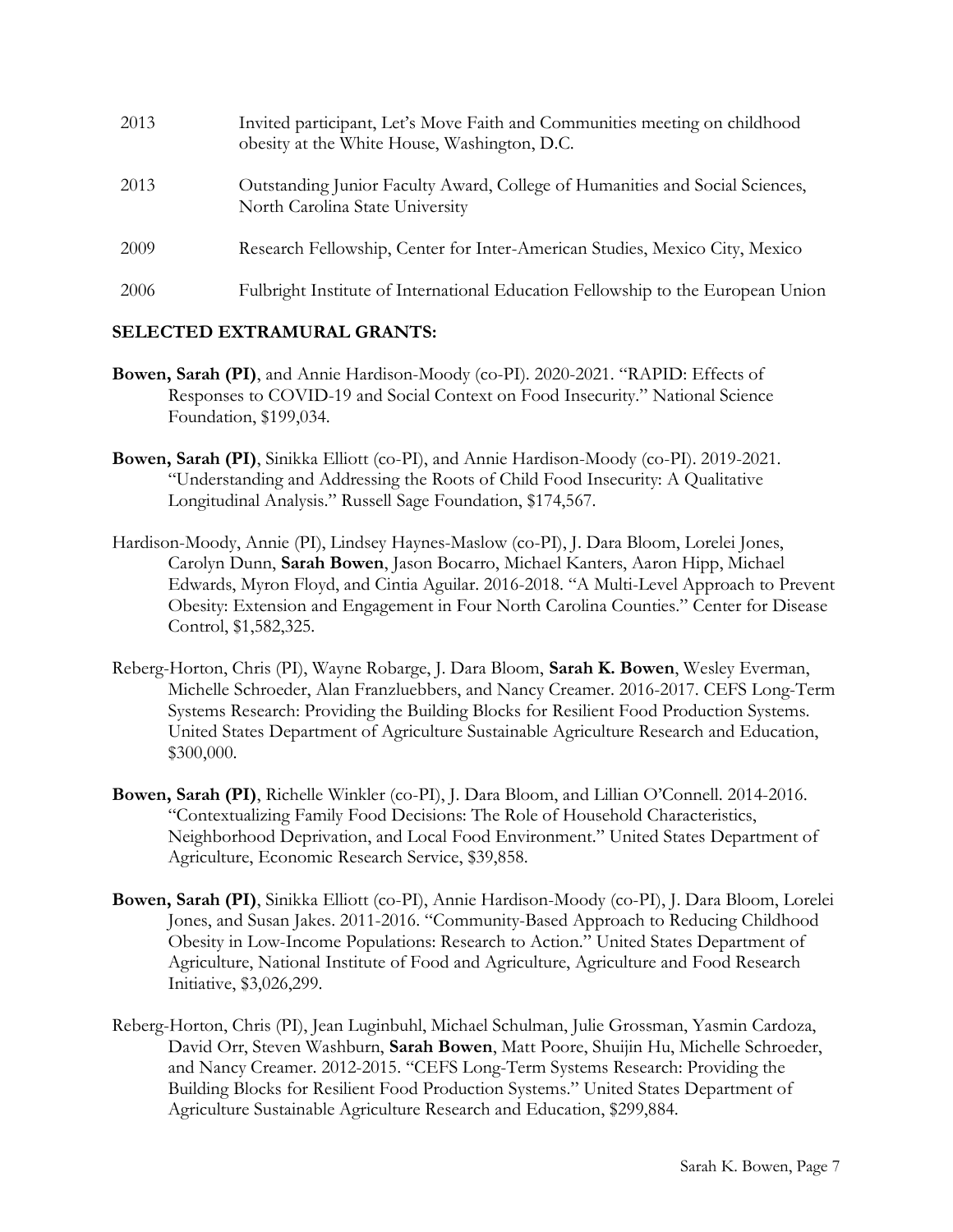| 2013 | Invited participant, Let's Move Faith and Communities meeting on childhood<br>obesity at the White House, Washington, D.C. |
|------|----------------------------------------------------------------------------------------------------------------------------|
| 2013 | Outstanding Junior Faculty Award, College of Humanities and Social Sciences,<br>North Carolina State University            |
| 2009 | Research Fellowship, Center for Inter-American Studies, Mexico City, Mexico                                                |
| 2006 | Fulbright Institute of International Education Fellowship to the European Union                                            |

## SELECTED EXTRAMURAL GRANTS:

- Bowen, Sarah (PI), and Annie Hardison-Moody (co-PI). 2020-2021. "RAPID: Effects of Responses to COVID-19 and Social Context on Food Insecurity." National Science Foundation, \$199,034.
- Bowen, Sarah (PI), Sinikka Elliott (co-PI), and Annie Hardison-Moody (co-PI). 2019-2021. "Understanding and Addressing the Roots of Child Food Insecurity: A Qualitative Longitudinal Analysis." Russell Sage Foundation, \$174,567.
- Hardison-Moody, Annie (PI), Lindsey Haynes-Maslow (co-PI), J. Dara Bloom, Lorelei Jones, Carolyn Dunn, Sarah Bowen, Jason Bocarro, Michael Kanters, Aaron Hipp, Michael Edwards, Myron Floyd, and Cintia Aguilar. 2016-2018. "A Multi-Level Approach to Prevent Obesity: Extension and Engagement in Four North Carolina Counties." Center for Disease Control, \$1,582,325.
- Reberg-Horton, Chris (PI), Wayne Robarge, J. Dara Bloom, Sarah K. Bowen, Wesley Everman, Michelle Schroeder, Alan Franzluebbers, and Nancy Creamer. 2016-2017. CEFS Long-Term Systems Research: Providing the Building Blocks for Resilient Food Production Systems. United States Department of Agriculture Sustainable Agriculture Research and Education, \$300,000.
- Bowen, Sarah (PI), Richelle Winkler (co-PI), J. Dara Bloom, and Lillian O'Connell. 2014-2016. "Contextualizing Family Food Decisions: The Role of Household Characteristics, Neighborhood Deprivation, and Local Food Environment." United States Department of Agriculture, Economic Research Service, \$39,858.
- Bowen, Sarah (PI), Sinikka Elliott (co-PI), Annie Hardison-Moody (co-PI), J. Dara Bloom, Lorelei Jones, and Susan Jakes. 2011-2016. "Community-Based Approach to Reducing Childhood Obesity in Low-Income Populations: Research to Action." United States Department of Agriculture, National Institute of Food and Agriculture, Agriculture and Food Research Initiative, \$3,026,299.
- Reberg-Horton, Chris (PI), Jean Luginbuhl, Michael Schulman, Julie Grossman, Yasmin Cardoza, David Orr, Steven Washburn, Sarah Bowen, Matt Poore, Shuijin Hu, Michelle Schroeder, and Nancy Creamer. 2012-2015. "CEFS Long-Term Systems Research: Providing the Building Blocks for Resilient Food Production Systems." United States Department of Agriculture Sustainable Agriculture Research and Education, \$299,884.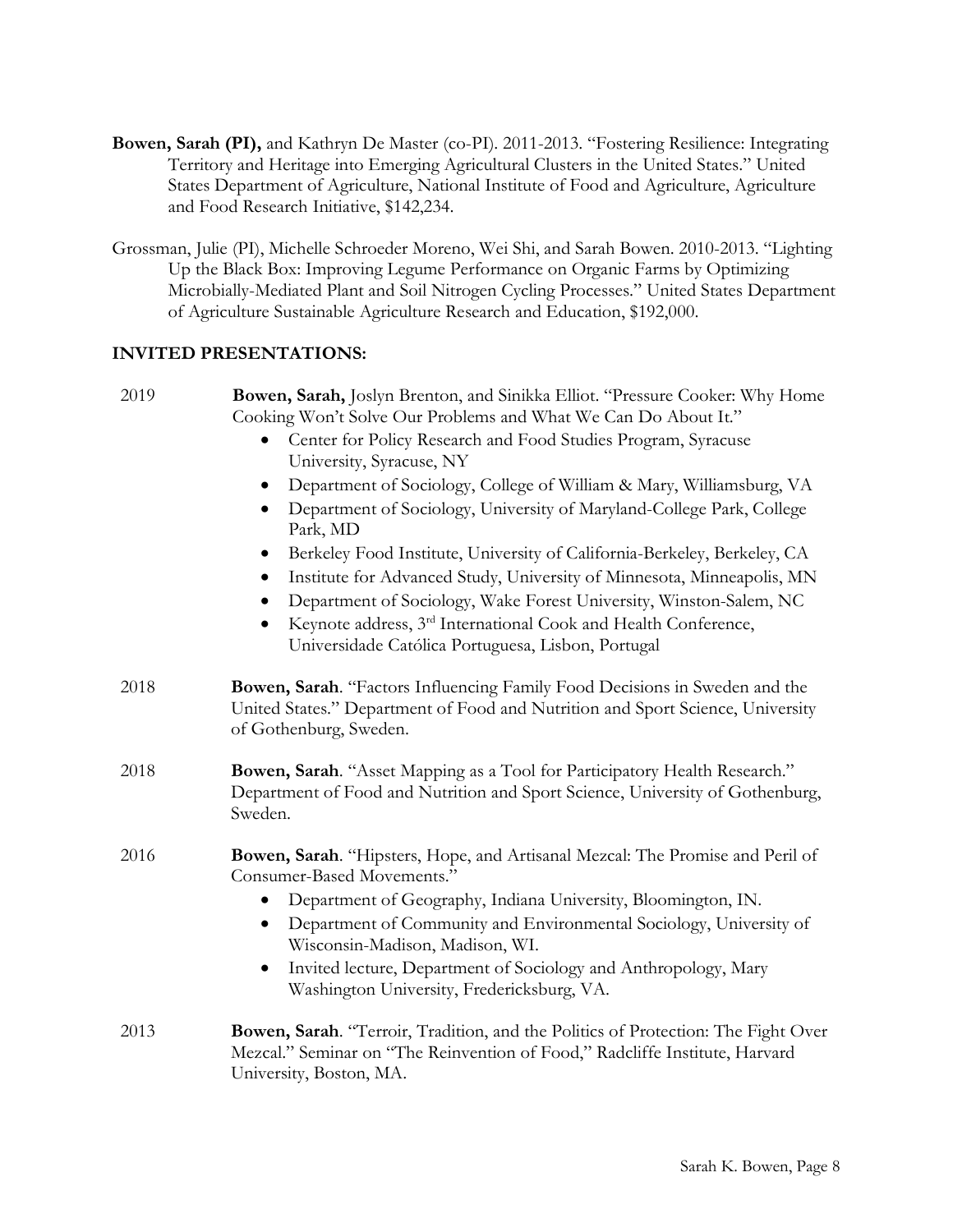- Bowen, Sarah (PI), and Kathryn De Master (co-PI). 2011-2013. "Fostering Resilience: Integrating Territory and Heritage into Emerging Agricultural Clusters in the United States." United States Department of Agriculture, National Institute of Food and Agriculture, Agriculture and Food Research Initiative, \$142,234.
- Grossman, Julie (PI), Michelle Schroeder Moreno, Wei Shi, and Sarah Bowen. 2010-2013. "Lighting Up the Black Box: Improving Legume Performance on Organic Farms by Optimizing Microbially-Mediated Plant and Soil Nitrogen Cycling Processes." United States Department of Agriculture Sustainable Agriculture Research and Education, \$192,000.

## INVITED PRESENTATIONS:

| 2019 | Bowen, Sarah, Joslyn Brenton, and Sinikka Elliot. "Pressure Cooker: Why Home<br>Cooking Won't Solve Our Problems and What We Can Do About It."<br>Center for Policy Research and Food Studies Program, Syracuse<br>University, Syracuse, NY<br>Department of Sociology, College of William & Mary, Williamsburg, VA<br>Department of Sociology, University of Maryland-College Park, College<br>Park, MD<br>Berkeley Food Institute, University of California-Berkeley, Berkeley, CA<br>٠<br>Institute for Advanced Study, University of Minnesota, Minneapolis, MN<br>$\bullet$<br>Department of Sociology, Wake Forest University, Winston-Salem, NC<br>Keynote address, 3 <sup>rd</sup> International Cook and Health Conference, |
|------|--------------------------------------------------------------------------------------------------------------------------------------------------------------------------------------------------------------------------------------------------------------------------------------------------------------------------------------------------------------------------------------------------------------------------------------------------------------------------------------------------------------------------------------------------------------------------------------------------------------------------------------------------------------------------------------------------------------------------------------|
|      | Universidade Católica Portuguesa, Lisbon, Portugal                                                                                                                                                                                                                                                                                                                                                                                                                                                                                                                                                                                                                                                                                   |
| 2018 | Bowen, Sarah. "Factors Influencing Family Food Decisions in Sweden and the<br>United States." Department of Food and Nutrition and Sport Science, University<br>of Gothenburg, Sweden.                                                                                                                                                                                                                                                                                                                                                                                                                                                                                                                                               |
| 2018 | Bowen, Sarah. "Asset Mapping as a Tool for Participatory Health Research."<br>Department of Food and Nutrition and Sport Science, University of Gothenburg,<br>Sweden.                                                                                                                                                                                                                                                                                                                                                                                                                                                                                                                                                               |
| 2016 | Bowen, Sarah. "Hipsters, Hope, and Artisanal Mezcal: The Promise and Peril of<br>Consumer-Based Movements."<br>Department of Geography, Indiana University, Bloomington, IN.<br>Department of Community and Environmental Sociology, University of<br>٠<br>Wisconsin-Madison, Madison, WI.<br>Invited lecture, Department of Sociology and Anthropology, Mary<br>$\bullet$                                                                                                                                                                                                                                                                                                                                                           |
| 2013 | Washington University, Fredericksburg, VA.<br><b>Bowen, Sarah.</b> "Terroir, Tradition, and the Politics of Protection: The Fight Over                                                                                                                                                                                                                                                                                                                                                                                                                                                                                                                                                                                               |
|      | Mezcal." Seminar on "The Reinvention of Food," Radcliffe Institute, Harvard<br>University, Boston, MA.                                                                                                                                                                                                                                                                                                                                                                                                                                                                                                                                                                                                                               |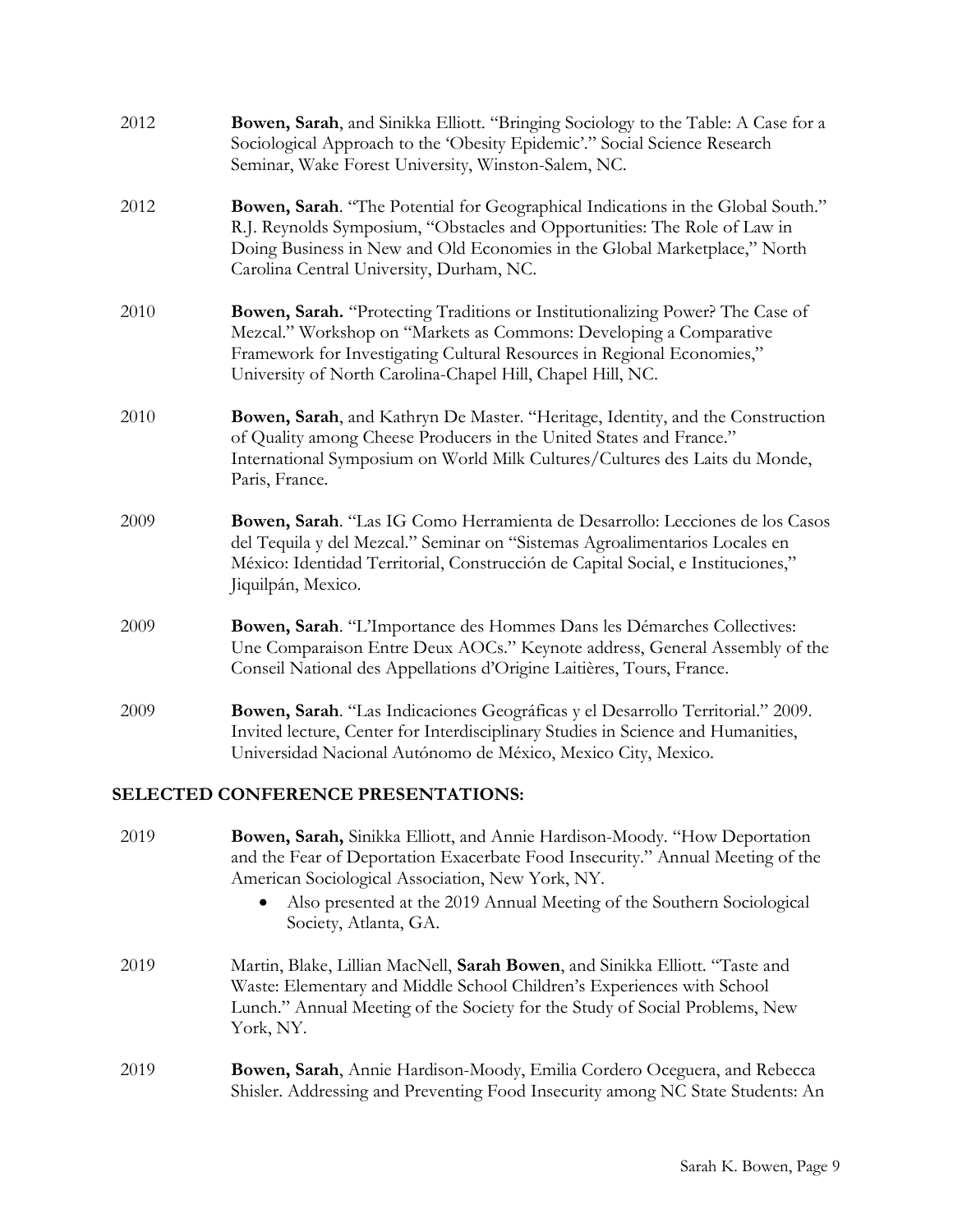| 2012                               | Bowen, Sarah, and Sinikka Elliott. "Bringing Sociology to the Table: A Case for a<br>Sociological Approach to the 'Obesity Epidemic'." Social Science Research<br>Seminar, Wake Forest University, Winston-Salem, NC.                                                                                              |  |
|------------------------------------|--------------------------------------------------------------------------------------------------------------------------------------------------------------------------------------------------------------------------------------------------------------------------------------------------------------------|--|
| 2012                               | Bowen, Sarah. "The Potential for Geographical Indications in the Global South."<br>R.J. Reynolds Symposium, "Obstacles and Opportunities: The Role of Law in<br>Doing Business in New and Old Economies in the Global Marketplace," North<br>Carolina Central University, Durham, NC.                              |  |
| 2010                               | Bowen, Sarah. "Protecting Traditions or Institutionalizing Power? The Case of<br>Mezcal." Workshop on "Markets as Commons: Developing a Comparative<br>Framework for Investigating Cultural Resources in Regional Economies,"<br>University of North Carolina-Chapel Hill, Chapel Hill, NC.                        |  |
| 2010                               | Bowen, Sarah, and Kathryn De Master. "Heritage, Identity, and the Construction<br>of Quality among Cheese Producers in the United States and France."<br>International Symposium on World Milk Cultures/Cultures des Laits du Monde,<br>Paris, France.                                                             |  |
| 2009                               | Bowen, Sarah. "Las IG Como Herramienta de Desarrollo: Lecciones de los Casos<br>del Tequila y del Mezcal." Seminar on "Sistemas Agroalimentarios Locales en<br>México: Identidad Territorial, Construcción de Capital Social, e Instituciones,"<br>Jiquilpán, Mexico.                                              |  |
| 2009                               | Bowen, Sarah. "L'Importance des Hommes Dans les Démarches Collectives:<br>Une Comparaison Entre Deux AOCs." Keynote address, General Assembly of the<br>Conseil National des Appellations d'Origine Laitières, Tours, France.                                                                                      |  |
| 2009                               | Bowen, Sarah. "Las Indicaciones Geográficas y el Desarrollo Territorial." 2009.<br>Invited lecture, Center for Interdisciplinary Studies in Science and Humanities,<br>Universidad Nacional Autónomo de México, Mexico City, Mexico.                                                                               |  |
| SELECTED CONFERENCE PRESENTATIONS: |                                                                                                                                                                                                                                                                                                                    |  |
| 2019                               | Bowen, Sarah, Sinikka Elliott, and Annie Hardison-Moody. "How Deportation<br>and the Fear of Deportation Exacerbate Food Insecurity." Annual Meeting of the<br>American Sociological Association, New York, NY.<br>Also presented at the 2019 Annual Meeting of the Southern Sociological<br>Society, Atlanta, GA. |  |
| 2010                               | Martin Blake Lillian MacMall Sarah Rowsen and Civildre Elliott "Taste and                                                                                                                                                                                                                                          |  |

- 2019 Martin, Blake, Lillian MacNell, Sarah Bowen, and Sinikka Elliott. "Taste and Waste: Elementary and Middle School Children's Experiences with School Lunch." Annual Meeting of the Society for the Study of Social Problems, New York, NY.
- 2019 Bowen, Sarah, Annie Hardison-Moody, Emilia Cordero Oceguera, and Rebecca Shisler. Addressing and Preventing Food Insecurity among NC State Students: An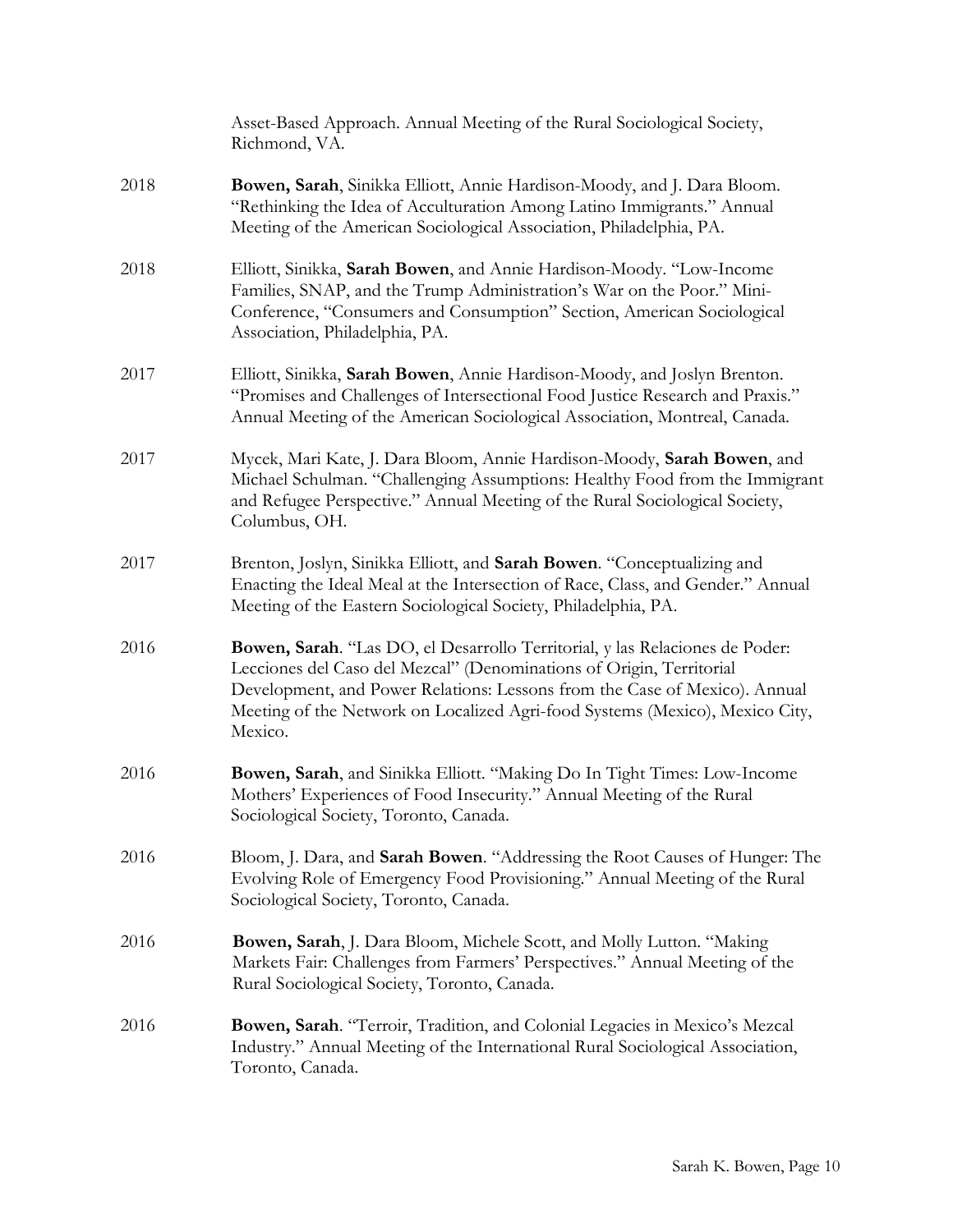|      | Asset-Based Approach. Annual Meeting of the Rural Sociological Society,<br>Richmond, VA.                                                                                                                                                                                                                                      |
|------|-------------------------------------------------------------------------------------------------------------------------------------------------------------------------------------------------------------------------------------------------------------------------------------------------------------------------------|
| 2018 | Bowen, Sarah, Sinikka Elliott, Annie Hardison-Moody, and J. Dara Bloom.<br>"Rethinking the Idea of Acculturation Among Latino Immigrants." Annual<br>Meeting of the American Sociological Association, Philadelphia, PA.                                                                                                      |
| 2018 | Elliott, Sinikka, Sarah Bowen, and Annie Hardison-Moody. "Low-Income<br>Families, SNAP, and the Trump Administration's War on the Poor." Mini-<br>Conference, "Consumers and Consumption" Section, American Sociological<br>Association, Philadelphia, PA.                                                                    |
| 2017 | Elliott, Sinikka, Sarah Bowen, Annie Hardison-Moody, and Joslyn Brenton.<br>"Promises and Challenges of Intersectional Food Justice Research and Praxis."<br>Annual Meeting of the American Sociological Association, Montreal, Canada.                                                                                       |
| 2017 | Mycek, Mari Kate, J. Dara Bloom, Annie Hardison-Moody, Sarah Bowen, and<br>Michael Schulman. "Challenging Assumptions: Healthy Food from the Immigrant<br>and Refugee Perspective." Annual Meeting of the Rural Sociological Society,<br>Columbus, OH.                                                                        |
| 2017 | Brenton, Joslyn, Sinikka Elliott, and Sarah Bowen. "Conceptualizing and<br>Enacting the Ideal Meal at the Intersection of Race, Class, and Gender." Annual<br>Meeting of the Eastern Sociological Society, Philadelphia, PA.                                                                                                  |
| 2016 | Bowen, Sarah. "Las DO, el Desarrollo Territorial, y las Relaciones de Poder:<br>Lecciones del Caso del Mezcal" (Denominations of Origin, Territorial<br>Development, and Power Relations: Lessons from the Case of Mexico). Annual<br>Meeting of the Network on Localized Agri-food Systems (Mexico), Mexico City,<br>Mexico. |
| 2016 | Bowen, Sarah, and Sinikka Elliott. "Making Do In Tight Times: Low-Income<br>Mothers' Experiences of Food Insecurity." Annual Meeting of the Rural<br>Sociological Society, Toronto, Canada.                                                                                                                                   |
| 2016 | Bloom, J. Dara, and Sarah Bowen. "Addressing the Root Causes of Hunger: The<br>Evolving Role of Emergency Food Provisioning." Annual Meeting of the Rural<br>Sociological Society, Toronto, Canada.                                                                                                                           |
| 2016 | Bowen, Sarah, J. Dara Bloom, Michele Scott, and Molly Lutton. "Making<br>Markets Fair: Challenges from Farmers' Perspectives." Annual Meeting of the<br>Rural Sociological Society, Toronto, Canada.                                                                                                                          |
| 2016 | Bowen, Sarah. "Terroir, Tradition, and Colonial Legacies in Mexico's Mezcal<br>Industry." Annual Meeting of the International Rural Sociological Association,<br>Toronto, Canada.                                                                                                                                             |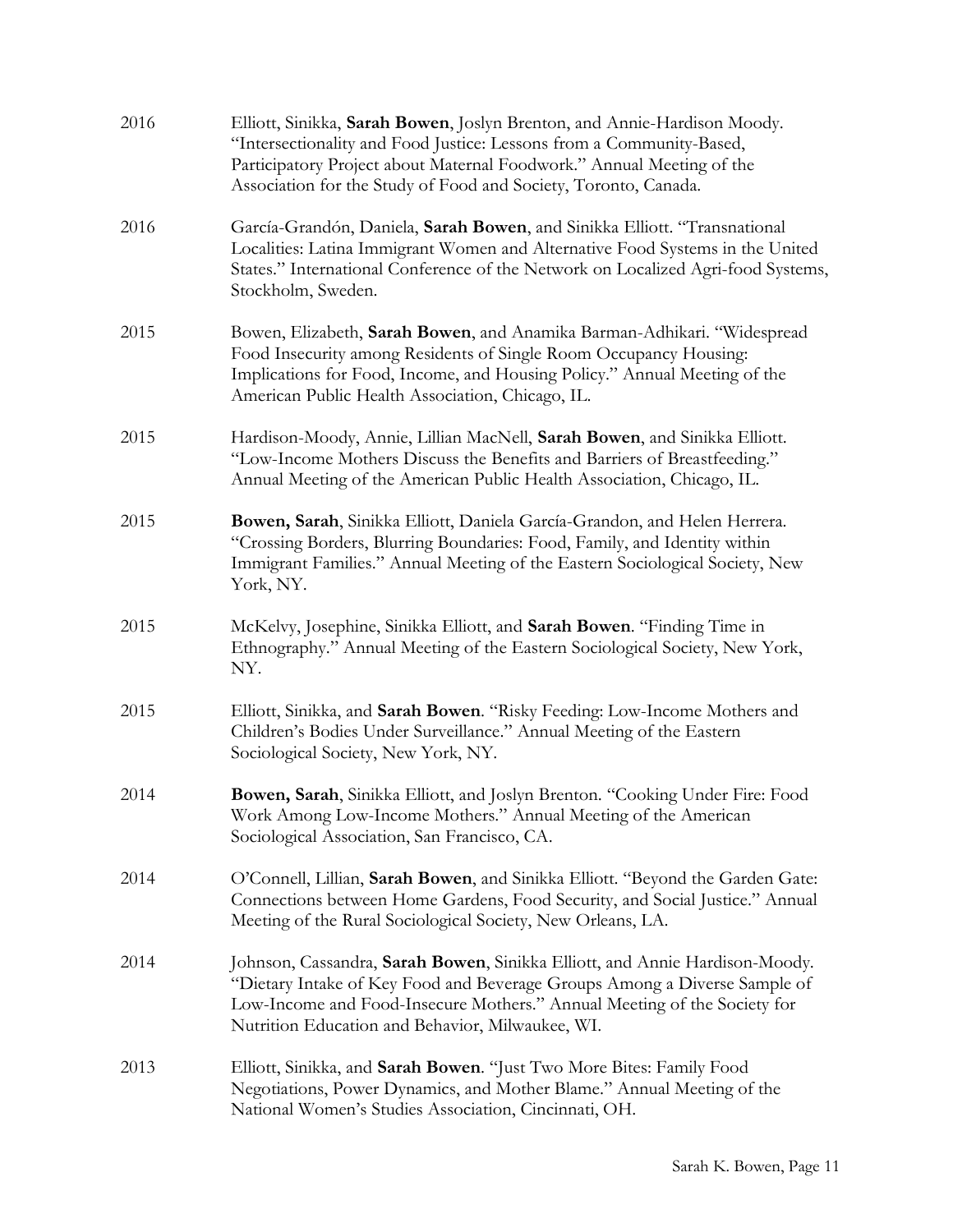| 2016 | Elliott, Sinikka, Sarah Bowen, Joslyn Brenton, and Annie-Hardison Moody.<br>"Intersectionality and Food Justice: Lessons from a Community-Based,<br>Participatory Project about Maternal Foodwork." Annual Meeting of the<br>Association for the Study of Food and Society, Toronto, Canada. |
|------|----------------------------------------------------------------------------------------------------------------------------------------------------------------------------------------------------------------------------------------------------------------------------------------------|
| 2016 | García-Grandón, Daniela, Sarah Bowen, and Sinikka Elliott. "Transnational<br>Localities: Latina Immigrant Women and Alternative Food Systems in the United<br>States." International Conference of the Network on Localized Agri-food Systems,<br>Stockholm, Sweden.                         |
| 2015 | Bowen, Elizabeth, Sarah Bowen, and Anamika Barman-Adhikari. "Widespread<br>Food Insecurity among Residents of Single Room Occupancy Housing:<br>Implications for Food, Income, and Housing Policy." Annual Meeting of the<br>American Public Health Association, Chicago, IL.                |
| 2015 | Hardison-Moody, Annie, Lillian MacNell, Sarah Bowen, and Sinikka Elliott.<br>"Low-Income Mothers Discuss the Benefits and Barriers of Breastfeeding."<br>Annual Meeting of the American Public Health Association, Chicago, IL.                                                              |
| 2015 | Bowen, Sarah, Sinikka Elliott, Daniela García-Grandon, and Helen Herrera.<br>"Crossing Borders, Blurring Boundaries: Food, Family, and Identity within<br>Immigrant Families." Annual Meeting of the Eastern Sociological Society, New<br>York, NY.                                          |
| 2015 | McKelvy, Josephine, Sinikka Elliott, and Sarah Bowen. "Finding Time in<br>Ethnography." Annual Meeting of the Eastern Sociological Society, New York,<br>NY.                                                                                                                                 |
| 2015 | Elliott, Sinikka, and Sarah Bowen. "Risky Feeding: Low-Income Mothers and<br>Children's Bodies Under Surveillance." Annual Meeting of the Eastern<br>Sociological Society, New York, NY.                                                                                                     |
| 2014 | Bowen, Sarah, Sinikka Elliott, and Joslyn Brenton. "Cooking Under Fire: Food<br>Work Among Low-Income Mothers." Annual Meeting of the American<br>Sociological Association, San Francisco, CA.                                                                                               |
| 2014 | O'Connell, Lillian, Sarah Bowen, and Sinikka Elliott. "Beyond the Garden Gate:<br>Connections between Home Gardens, Food Security, and Social Justice." Annual<br>Meeting of the Rural Sociological Society, New Orleans, LA.                                                                |
| 2014 | Johnson, Cassandra, Sarah Bowen, Sinikka Elliott, and Annie Hardison-Moody.<br>"Dietary Intake of Key Food and Beverage Groups Among a Diverse Sample of<br>Low-Income and Food-Insecure Mothers." Annual Meeting of the Society for<br>Nutrition Education and Behavior, Milwaukee, WI.     |
| 2013 | Elliott, Sinikka, and Sarah Bowen. "Just Two More Bites: Family Food<br>Negotiations, Power Dynamics, and Mother Blame." Annual Meeting of the<br>National Women's Studies Association, Cincinnati, OH.                                                                                      |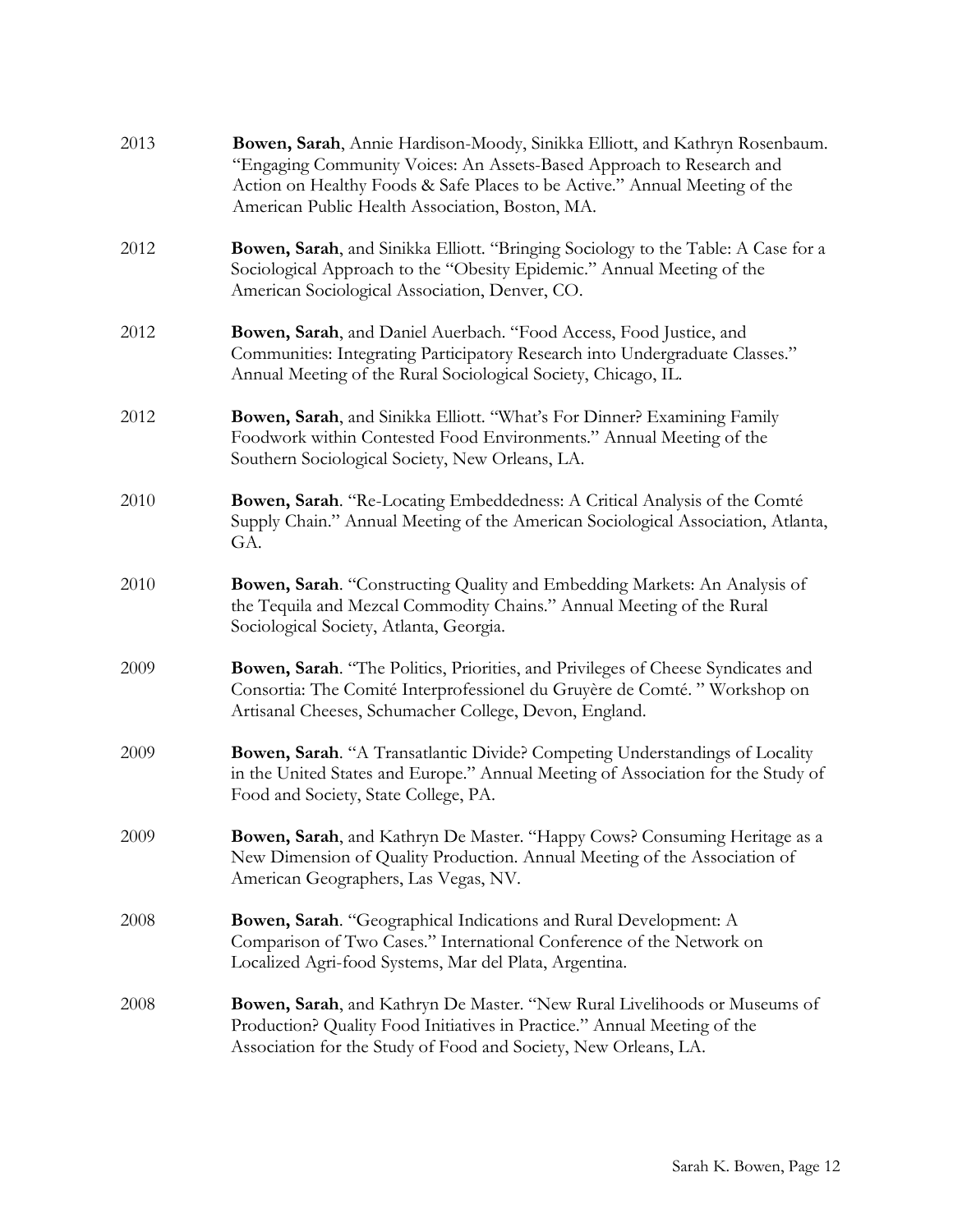| 2013 | Bowen, Sarah, Annie Hardison-Moody, Sinikka Elliott, and Kathryn Rosenbaum.<br>"Engaging Community Voices: An Assets-Based Approach to Research and<br>Action on Healthy Foods & Safe Places to be Active." Annual Meeting of the<br>American Public Health Association, Boston, MA. |
|------|--------------------------------------------------------------------------------------------------------------------------------------------------------------------------------------------------------------------------------------------------------------------------------------|
| 2012 | Bowen, Sarah, and Sinikka Elliott. "Bringing Sociology to the Table: A Case for a<br>Sociological Approach to the "Obesity Epidemic." Annual Meeting of the<br>American Sociological Association, Denver, CO.                                                                        |
| 2012 | Bowen, Sarah, and Daniel Auerbach. "Food Access, Food Justice, and<br>Communities: Integrating Participatory Research into Undergraduate Classes."<br>Annual Meeting of the Rural Sociological Society, Chicago, IL.                                                                 |
| 2012 | Bowen, Sarah, and Sinikka Elliott. "What's For Dinner? Examining Family<br>Foodwork within Contested Food Environments." Annual Meeting of the<br>Southern Sociological Society, New Orleans, LA.                                                                                    |
| 2010 | Bowen, Sarah. "Re-Locating Embeddedness: A Critical Analysis of the Comté<br>Supply Chain." Annual Meeting of the American Sociological Association, Atlanta,<br>GA.                                                                                                                 |
| 2010 | Bowen, Sarah. "Constructing Quality and Embedding Markets: An Analysis of<br>the Tequila and Mezcal Commodity Chains." Annual Meeting of the Rural<br>Sociological Society, Atlanta, Georgia.                                                                                        |
| 2009 | Bowen, Sarah. "The Politics, Priorities, and Privileges of Cheese Syndicates and<br>Consortia: The Comité Interprofessionel du Gruyère de Comté. "Workshop on<br>Artisanal Cheeses, Schumacher College, Devon, England.                                                              |
| 2009 | Bowen, Sarah. "A Transatlantic Divide? Competing Understandings of Locality<br>in the United States and Europe." Annual Meeting of Association for the Study of<br>Food and Society, State College, PA.                                                                              |
| 2009 | Bowen, Sarah, and Kathryn De Master. "Happy Cows? Consuming Heritage as a<br>New Dimension of Quality Production. Annual Meeting of the Association of<br>American Geographers, Las Vegas, NV.                                                                                       |
| 2008 | <b>Bowen, Sarah</b> . "Geographical Indications and Rural Development: A<br>Comparison of Two Cases." International Conference of the Network on<br>Localized Agri-food Systems, Mar del Plata, Argentina.                                                                           |
| 2008 | <b>Bowen, Sarah</b> , and Kathryn De Master. "New Rural Livelihoods or Museums of<br>Production? Quality Food Initiatives in Practice." Annual Meeting of the<br>Association for the Study of Food and Society, New Orleans, LA.                                                     |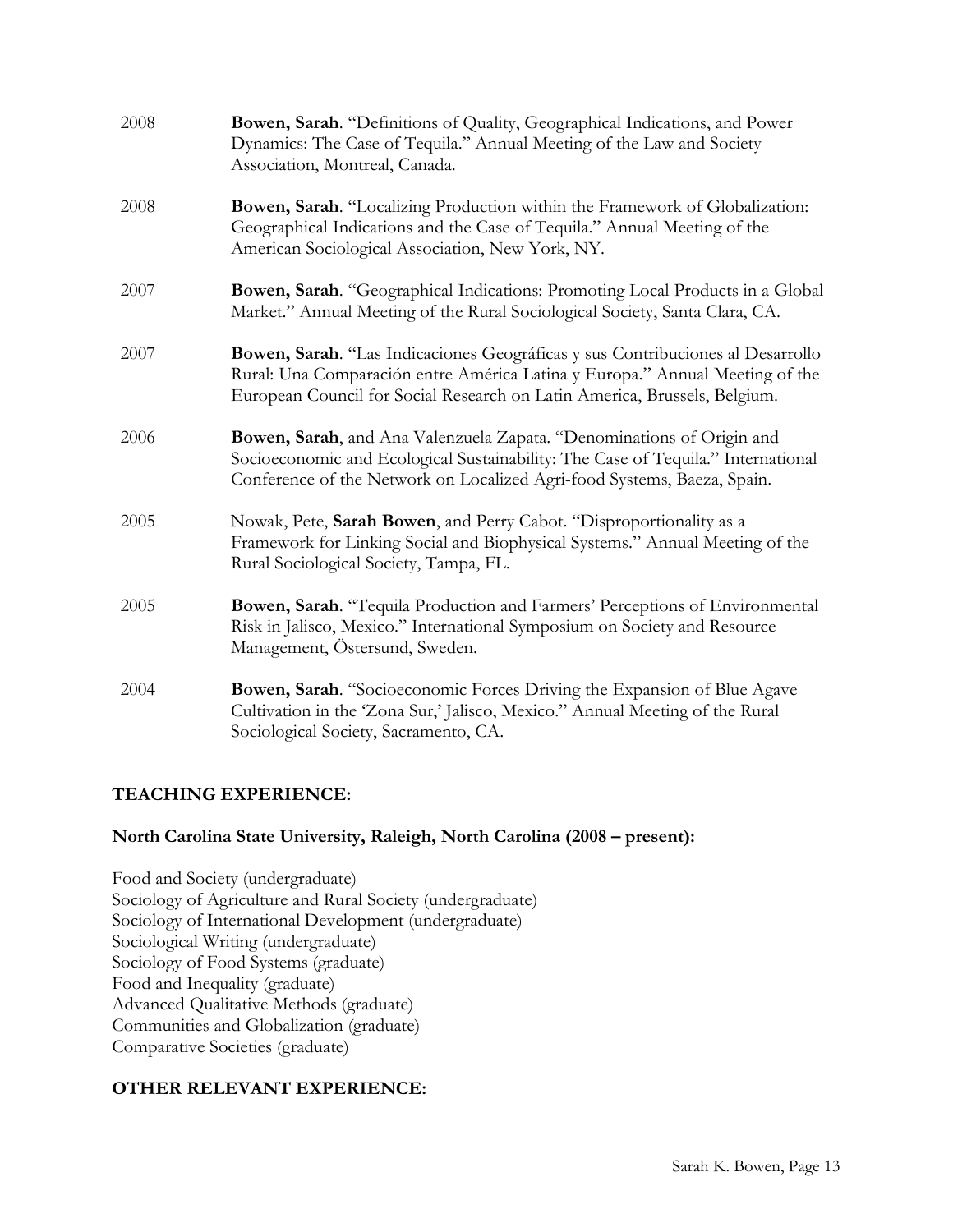| 2008 | Bowen, Sarah. "Definitions of Quality, Geographical Indications, and Power<br>Dynamics: The Case of Tequila." Annual Meeting of the Law and Society<br>Association, Montreal, Canada.                                                       |
|------|---------------------------------------------------------------------------------------------------------------------------------------------------------------------------------------------------------------------------------------------|
| 2008 | Bowen, Sarah. "Localizing Production within the Framework of Globalization:<br>Geographical Indications and the Case of Tequila." Annual Meeting of the<br>American Sociological Association, New York, NY.                                 |
| 2007 | Bowen, Sarah. "Geographical Indications: Promoting Local Products in a Global<br>Market." Annual Meeting of the Rural Sociological Society, Santa Clara, CA.                                                                                |
| 2007 | Bowen, Sarah. "Las Indicaciones Geográficas y sus Contribuciones al Desarrollo<br>Rural: Una Comparación entre América Latina y Europa." Annual Meeting of the<br>European Council for Social Research on Latin America, Brussels, Belgium. |
| 2006 | Bowen, Sarah, and Ana Valenzuela Zapata. "Denominations of Origin and<br>Socioeconomic and Ecological Sustainability: The Case of Tequila." International<br>Conference of the Network on Localized Agri-food Systems, Baeza, Spain.        |
| 2005 | Nowak, Pete, Sarah Bowen, and Perry Cabot. "Disproportionality as a<br>Framework for Linking Social and Biophysical Systems." Annual Meeting of the<br>Rural Sociological Society, Tampa, FL.                                               |
| 2005 | Bowen, Sarah. "Tequila Production and Farmers' Perceptions of Environmental<br>Risk in Jalisco, Mexico." International Symposium on Society and Resource<br>Management, Östersund, Sweden.                                                  |
| 2004 | Bowen, Sarah. "Socioeconomic Forces Driving the Expansion of Blue Agave<br>Cultivation in the 'Zona Sur,' Jalisco, Mexico." Annual Meeting of the Rural<br>Sociological Society, Sacramento, CA.                                            |

## TEACHING EXPERIENCE:

## North Carolina State University, Raleigh, North Carolina (2008 – present):

Food and Society (undergraduate) Sociology of Agriculture and Rural Society (undergraduate) Sociology of International Development (undergraduate) Sociological Writing (undergraduate) Sociology of Food Systems (graduate) Food and Inequality (graduate) Advanced Qualitative Methods (graduate) Communities and Globalization (graduate) Comparative Societies (graduate)

## OTHER RELEVANT EXPERIENCE: